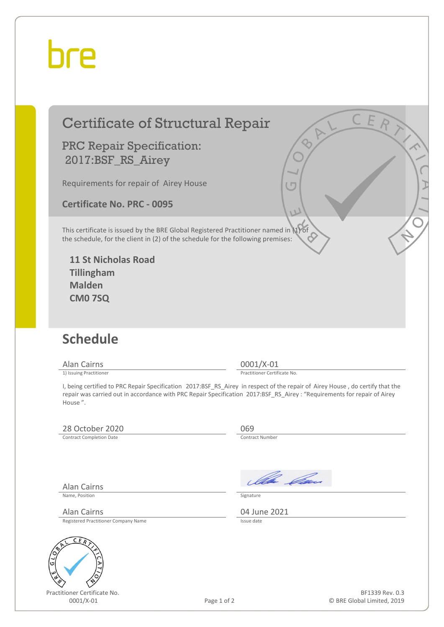# bre

### Certificate of Structural Repair

#### PRC Repair Specification: 2017:BSF\_RS\_Airey

Requirements for repair of Airey House

**Certificate No. PRC - 0095**

This certificate is issued by the BRE Global Registered Practitioner named in (1) of the schedule, for the client in (2) of the schedule for the following premises:

**11 St Nicholas Road Tillingham Malden CM0 7SQ**

## **Schedule**

Alan Cairns 0001/X-01<br>
1) Issuing Practitioner<br>
1) Issuing Practitioner

Practitioner Certificate No.

I, being certified to PRC Repair Specification 2017:BSF\_RS\_Airey in respect of the repair of Airey House , do certify that the repair was carried out in accordance with PRC Repair Specification 2017:BSF\_RS\_Airey : "Requirements for repair of Airey House ".

### 28 October 2020<br>
Contract Completion Date

Contract Completion Date

Alan Cairns

Name, Position Signature

Alan Cairns (2021)<br>Registered Practitioner Company Name Registered Practitioner Company Name



Practitioner Certificate No.

Illa Can